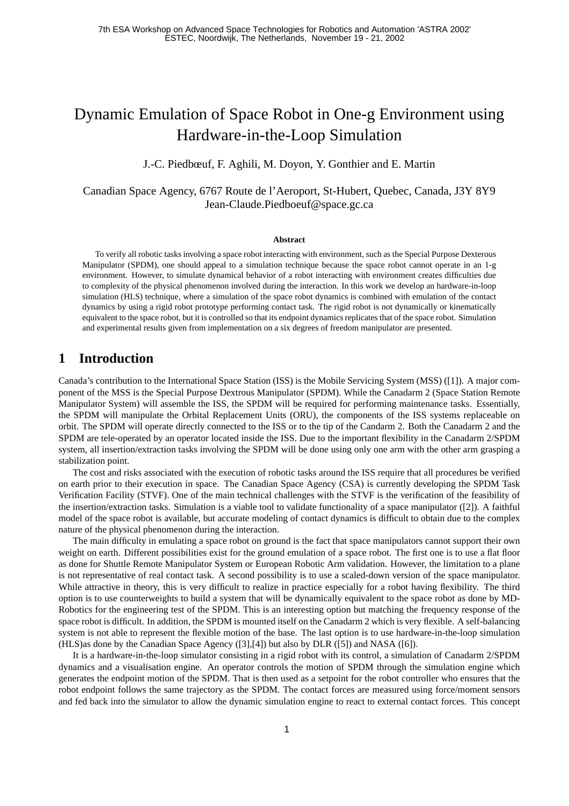# Dynamic Emulation of Space Robot in One-g Environment using Hardware-in-the-Loop Simulation

J.-C. Piedbœuf, F. Aghili, M. Doyon, Y. Gonthier and E. Martin

### Canadian Space Agency, 6767 Route de l'Aeroport, St-Hubert, Quebec, Canada, J3Y 8Y9 Jean-Claude.Piedboeuf@space.gc.ca

#### **Abstract**

To verify all robotic tasks involving a space robot interacting with environment, such as the Special Purpose Dexterous Manipulator (SPDM), one should appeal to a simulation technique because the space robot cannot operate in an 1-g environment. However, to simulate dynamical behavior of a robot interacting with environment creates difficulties due to complexity of the physical phenomenon involved during the interaction. In this work we develop an hardware-in-loop simulation (HLS) technique, where a simulation of the space robot dynamics is combined with emulation of the contact dynamics by using a rigid robot prototype performing contact task. The rigid robot is not dynamically or kinematically equivalent to the space robot, but it is controlled so that its endpoint dynamics replicates that of the space robot. Simulation and experimental results given from implementation on a six degrees of freedom manipulator are presented.

### **1 Introduction**

Canada's contribution to the International Space Station (ISS) is the Mobile Servicing System (MSS) ([1]). A major component of the MSS is the Special Purpose Dextrous Manipulator (SPDM). While the Canadarm 2 (Space Station Remote Manipulator System) will assemble the ISS, the SPDM will be required for performing maintenance tasks. Essentially, the SPDM will manipulate the Orbital Replacement Units (ORU), the components of the ISS systems replaceable on orbit. The SPDM will operate directly connected to the ISS or to the tip of the Candarm 2. Both the Canadarm 2 and the SPDM are tele-operated by an operator located inside the ISS. Due to the important flexibility in the Canadarm 2/SPDM system, all insertion/extraction tasks involving the SPDM will be done using only one arm with the other arm grasping a stabilization point.

The cost and risks associated with the execution of robotic tasks around the ISS require that all procedures be verified on earth prior to their execution in space. The Canadian Space Agency (CSA) is currently developing the SPDM Task Verification Facility (STVF). One of the main technical challenges with the STVF is the verification of the feasibility of the insertion/extraction tasks. Simulation is a viable tool to validate functionality of a space manipulator ([2]). A faithful model of the space robot is available, but accurate modeling of contact dynamics is difficult to obtain due to the complex nature of the physical phenomenon during the interaction.

The main difficulty in emulating a space robot on ground is the fact that space manipulators cannot support their own weight on earth. Different possibilities exist for the ground emulation of a space robot. The first one is to use a flat floor as done for Shuttle Remote Manipulator System or European Robotic Arm validation. However, the limitation to a plane is not representative of real contact task. A second possibility is to use a scaled-down version of the space manipulator. While attractive in theory, this is very difficult to realize in practice especially for a robot having flexibility. The third option is to use counterweights to build a system that will be dynamically equivalent to the space robot as done by MD-Robotics for the engineering test of the SPDM. This is an interesting option but matching the frequency response of the space robot is difficult. In addition, the SPDM is mounted itself on the Canadarm 2 which is very flexible. A self-balancing system is not able to represent the flexible motion of the base. The last option is to use hardware-in-the-loop simulation (HLS)as done by the Canadian Space Agency ([3],[4]) but also by DLR ([5]) and NASA ([6]).

It is a hardware-in-the-loop simulator consisting in a rigid robot with its control, a simulation of Canadarm 2/SPDM dynamics and a visualisation engine. An operator controls the motion of SPDM through the simulation engine which generates the endpoint motion of the SPDM. That is then used as a setpoint for the robot controller who ensures that the robot endpoint follows the same trajectory as the SPDM. The contact forces are measured using force/moment sensors and fed back into the simulator to allow the dynamic simulation engine to react to external contact forces. This concept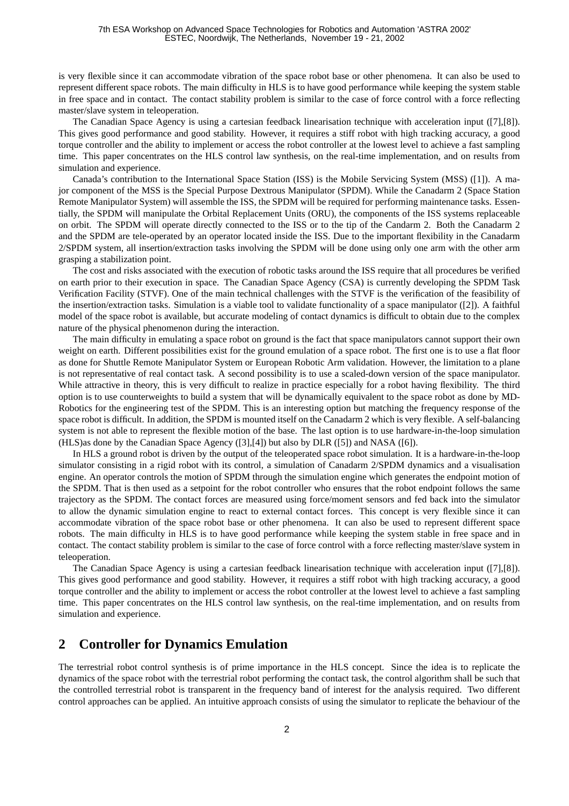is very flexible since it can accommodate vibration of the space robot base or other phenomena. It can also be used to represent different space robots. The main difficulty in HLS is to have good performance while keeping the system stable in free space and in contact. The contact stability problem is similar to the case of force control with a force reflecting master/slave system in teleoperation.

The Canadian Space Agency is using a cartesian feedback linearisation technique with acceleration input ([7],[8]). This gives good performance and good stability. However, it requires a stiff robot with high tracking accuracy, a good torque controller and the ability to implement or access the robot controller at the lowest level to achieve a fast sampling time. This paper concentrates on the HLS control law synthesis, on the real-time implementation, and on results from simulation and experience.

Canada's contribution to the International Space Station (ISS) is the Mobile Servicing System (MSS) ([1]). A major component of the MSS is the Special Purpose Dextrous Manipulator (SPDM). While the Canadarm 2 (Space Station Remote Manipulator System) will assemble the ISS, the SPDM will be required for performing maintenance tasks. Essentially, the SPDM will manipulate the Orbital Replacement Units (ORU), the components of the ISS systems replaceable on orbit. The SPDM will operate directly connected to the ISS or to the tip of the Candarm 2. Both the Canadarm 2 and the SPDM are tele-operated by an operator located inside the ISS. Due to the important flexibility in the Canadarm 2/SPDM system, all insertion/extraction tasks involving the SPDM will be done using only one arm with the other arm grasping a stabilization point.

The cost and risks associated with the execution of robotic tasks around the ISS require that all procedures be verified on earth prior to their execution in space. The Canadian Space Agency (CSA) is currently developing the SPDM Task Verification Facility (STVF). One of the main technical challenges with the STVF is the verification of the feasibility of the insertion/extraction tasks. Simulation is a viable tool to validate functionality of a space manipulator ([2]). A faithful model of the space robot is available, but accurate modeling of contact dynamics is difficult to obtain due to the complex nature of the physical phenomenon during the interaction.

The main difficulty in emulating a space robot on ground is the fact that space manipulators cannot support their own weight on earth. Different possibilities exist for the ground emulation of a space robot. The first one is to use a flat floor as done for Shuttle Remote Manipulator System or European Robotic Arm validation. However, the limitation to a plane is not representative of real contact task. A second possibility is to use a scaled-down version of the space manipulator. While attractive in theory, this is very difficult to realize in practice especially for a robot having flexibility. The third option is to use counterweights to build a system that will be dynamically equivalent to the space robot as done by MD-Robotics for the engineering test of the SPDM. This is an interesting option but matching the frequency response of the space robot is difficult. In addition, the SPDM is mounted itself on the Canadarm 2 which is very flexible. A self-balancing system is not able to represent the flexible motion of the base. The last option is to use hardware-in-the-loop simulation (HLS)as done by the Canadian Space Agency ([3],[4]) but also by DLR ([5]) and NASA ([6]).

In HLS a ground robot is driven by the output of the teleoperated space robot simulation. It is a hardware-in-the-loop simulator consisting in a rigid robot with its control, a simulation of Canadarm 2/SPDM dynamics and a visualisation engine. An operator controls the motion of SPDM through the simulation engine which generates the endpoint motion of the SPDM. That is then used as a setpoint for the robot controller who ensures that the robot endpoint follows the same trajectory as the SPDM. The contact forces are measured using force/moment sensors and fed back into the simulator to allow the dynamic simulation engine to react to external contact forces. This concept is very flexible since it can accommodate vibration of the space robot base or other phenomena. It can also be used to represent different space robots. The main difficulty in HLS is to have good performance while keeping the system stable in free space and in contact. The contact stability problem is similar to the case of force control with a force reflecting master/slave system in teleoperation.

The Canadian Space Agency is using a cartesian feedback linearisation technique with acceleration input ([7],[8]). This gives good performance and good stability. However, it requires a stiff robot with high tracking accuracy, a good torque controller and the ability to implement or access the robot controller at the lowest level to achieve a fast sampling time. This paper concentrates on the HLS control law synthesis, on the real-time implementation, and on results from simulation and experience.

# **2 Controller for Dynamics Emulation**

The terrestrial robot control synthesis is of prime importance in the HLS concept. Since the idea is to replicate the dynamics of the space robot with the terrestrial robot performing the contact task, the control algorithm shall be such that the controlled terrestrial robot is transparent in the frequency band of interest for the analysis required. Two different control approaches can be applied. An intuitive approach consists of using the simulator to replicate the behaviour of the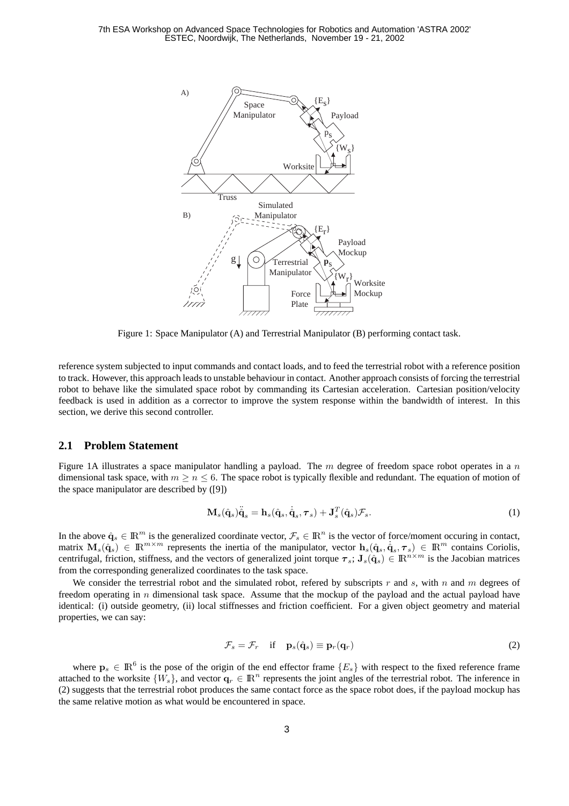

Figure 1: Space Manipulator (A) and Terrestrial Manipulator (B) performing contact task.

reference system subjected to input commands and contact loads, and to feed the terrestrial robot with a reference position to track. However, this approach leads to unstable behaviour in contact. Another approach consists of forcing the terrestrial robot to behave like the simulated space robot by commanding its Cartesian acceleration. Cartesian position/velocity feedback is used in addition as a corrector to improve the system response within the bandwidth of interest. In this section, we derive this second controller.

#### **2.1 Problem Statement**

Figure 1A illustrates a space manipulator handling a payload. The  $m$  degree of freedom space robot operates in a  $n$ dimensional task space, with  $m > n < 6$ . The space robot is typically flexible and redundant. The equation of motion of the space manipulator are described by ([9])

$$
\mathbf{M}_s(\hat{\mathbf{q}}_s)\ddot{\mathbf{q}}_s = \mathbf{h}_s(\hat{\mathbf{q}}_s, \dot{\mathbf{q}}_s, \boldsymbol{\tau}_s) + \mathbf{J}_s^T(\hat{\mathbf{q}}_s) \mathcal{F}_s.
$$
\n(1)

In the above  $\hat{\mathbf{q}}_s \in \mathbb{R}^m$  is the generalized coordinate vector,  $\mathcal{F}_s \in \mathbb{R}^n$  is the vector of force/moment occuring in contact, matrix  $\mathbf{M}_s(\hat{\mathbf{q}}_s) \in \mathbb{R}^{m \times m}$  represents the inertia of the manipulator, vector  $\mathbf{h}_s(\hat{\mathbf{q}}_s, \dot{\hat{\mathbf{q}}}_s, \tau_s) \in \mathbb{R}^m$  contains Coriolis, centrifugal, friction, stiffness, and the vectors of generalized joint torque  $\tau_s$ ;  $J_s(\hat{q}_s) \in \mathbb{R}^{n \times m}$  is the Jacobian matrices from the corresponding generalized coordinates to the task space.

We consider the terrestrial robot and the simulated robot, refered by subscripts r and s, with n and m degrees of freedom operating in  $n$  dimensional task space. Assume that the mockup of the payload and the actual payload have identical: (i) outside geometry, (ii) local stiffnesses and friction coefficient. For a given object geometry and material properties, we can say:

$$
\mathcal{F}_s = \mathcal{F}_r \quad \text{if} \quad \mathbf{p}_s(\hat{\mathbf{q}}_s) \equiv \mathbf{p}_r(\mathbf{q}_r) \tag{2}
$$

where  $p_s \in \mathbb{R}^6$  is the pose of the origin of the end effector frame  $\{E_s\}$  with respect to the fixed reference frame attached to the worksite  $\{W_s\}$ , and vector  $\mathbf{q}_r \in \mathbb{R}^n$  represents the joint angles of the terrestrial robot. The inference in (2) suggests that the terrestrial robot produces the same contact force as the space robot does, if the payload mockup has the same relative motion as what would be encountered in space.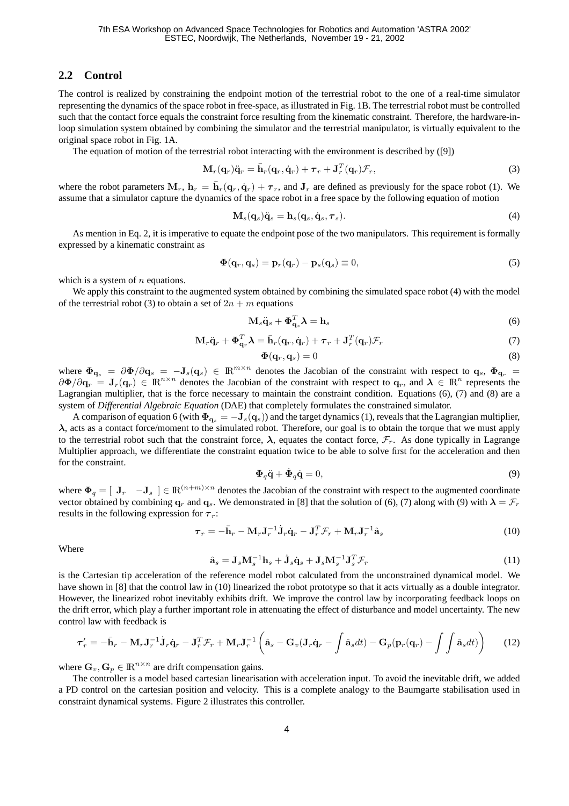#### **2.2 Control**

The control is realized by constraining the endpoint motion of the terrestrial robot to the one of a real-time simulator representing the dynamics of the space robot in free-space, as illustrated in Fig. 1B. The terrestrial robot must be controlled such that the contact force equals the constraint force resulting from the kinematic constraint. Therefore, the hardware-inloop simulation system obtained by combining the simulator and the terrestrial manipulator, is virtually equivalent to the original space robot in Fig. 1A.

The equation of motion of the terrestrial robot interacting with the environment is described by ([9])

$$
\mathbf{M}_r(\mathbf{q}_r)\ddot{\mathbf{q}}_r = \bar{\mathbf{h}}_r(\mathbf{q}_r, \dot{\mathbf{q}}_r) + \boldsymbol{\tau}_r + \mathbf{J}_r^T(\mathbf{q}_r)\mathcal{F}_r, \tag{3}
$$

where the robot parameters  $M_r$ ,  $h_r = \bar{h}_r(q_r, \dot{q}_r) + \tau_r$ , and  $J_r$  are defined as previously for the space robot (1). We assume that a simulator capture the dynamics of the space robot in a free space by the following equation of motion

$$
\mathbf{M}_s(\mathbf{q}_s)\ddot{\mathbf{q}}_s = \mathbf{h}_s(\mathbf{q}_s, \dot{\mathbf{q}}_s, \boldsymbol{\tau}_s). \tag{4}
$$

As mention in Eq. 2, it is imperative to equate the endpoint pose of the two manipulators. This requirement is formally expressed by a kinematic constraint as

$$
\mathbf{\Phi}(\mathbf{q}_r, \mathbf{q}_s) = \mathbf{p}_r(\mathbf{q}_r) - \mathbf{p}_s(\mathbf{q}_s) \equiv 0,\tag{5}
$$

which is a system of  $n$  equations.

We apply this constraint to the augmented system obtained by combining the simulated space robot (4) with the model of the terrestrial robot (3) to obtain a set of  $2n + m$  equations

$$
\mathbf{M}_s \ddot{\mathbf{q}}_s + \boldsymbol{\Phi}_{\mathbf{q}_s}^T \boldsymbol{\lambda} = \mathbf{h}_s \tag{6}
$$

$$
\mathbf{M}_r \ddot{\mathbf{q}}_r + \mathbf{\Phi}_{\mathbf{q}_r}^T \boldsymbol{\lambda} = \bar{\mathbf{h}}_r(\mathbf{q}_r, \dot{\mathbf{q}}_r) + \boldsymbol{\tau}_r + \mathbf{J}_r^T(\mathbf{q}_r) \mathcal{F}_r
$$
\n<sup>(7)</sup>

$$
\mathbf{\Phi}(\mathbf{q}_r, \mathbf{q}_s) = 0 \tag{8}
$$

where  $\Phi_{q_s} = \partial \Phi / \partial q_s = -J_s(q_s) \in \mathbb{R}^{m \times n}$  denotes the Jacobian of the constraint with respect to  $q_s$ ,  $\Phi_{q_r} =$  $\partial \Phi / \partial \mathbf{q}_r = \mathbf{J}_r(\mathbf{q}_r) \in \mathbb{R}^{n \times n}$  denotes the Jacobian of the constraint with respect to  $\mathbf{q}_r$ , and  $\lambda \in \mathbb{R}^n$  represents the Lagrangian multiplier, that is the force necessary to maintain the constraint condition. Equations (6), (7) and (8) are a system of *Differential Algebraic Equation* (DAE) that completely formulates the constrained simulator.

A comparison of equation 6 (with  $\Phi_{q_s} = -J_s(q_s)$ ) and the target dynamics (1), reveals that the Lagrangian multiplier, *λ*, acts as a contact force/moment to the simulated robot. Therefore, our goal is to obtain the torque that we must apply to the terrestrial robot such that the constraint force,  $\lambda$ , equates the contact force,  $\mathcal{F}_r$ . As done typically in Lagrange Multiplier approach, we differentiate the constraint equation twice to be able to solve first for the acceleration and then for the constraint.

$$
\mathbf{\Phi}_q \ddot{\mathbf{q}} + \dot{\mathbf{\Phi}}_q \dot{\mathbf{q}} = 0,\tag{9}
$$

where  $\Phi_q = [\mathbf{J}_r \ -\mathbf{J}_s] \in \mathbb{R}^{(n+m)\times n}$  denotes the Jacobian of the constraint with respect to the augmented coordinate vector obtained by combining  $\mathbf{q}_r$  and  $\mathbf{q}_s$ . We demonstrated in [8] that the solution of (6), (7) along with (9) with  $\lambda = \mathcal{F}_r$ results in the following expression for  $\tau_r$ :

$$
\boldsymbol{\tau}_r = -\bar{\mathbf{h}}_r - \mathbf{M}_r \mathbf{J}_r^{-1} \dot{\mathbf{J}}_r \dot{\mathbf{q}}_r - \mathbf{J}_r^T \mathcal{F}_r + \mathbf{M}_r \mathbf{J}_r^{-1} \hat{\mathbf{a}}_s \tag{10}
$$

Where

$$
\hat{\mathbf{a}}_s = \mathbf{J}_s \mathbf{M}_s^{-1} \mathbf{h}_s + \dot{\mathbf{J}}_s \dot{\mathbf{q}}_s + \mathbf{J}_s \mathbf{M}_s^{-1} \mathbf{J}_s^T \mathcal{F}_r
$$
\n(11)

is the Cartesian tip acceleration of the reference model robot calculated from the unconstrained dynamical model. We have shown in [8] that the control law in (10) linearized the robot prototype so that it acts virtually as a double integrator. However, the linearized robot inevitably exhibits drift. We improve the control law by incorporating feedback loops on the drift error, which play a further important role in attenuating the effect of disturbance and model uncertainty. The new control law with feedback is

$$
\boldsymbol{\tau}'_r = -\bar{\mathbf{h}}_r - \mathbf{M}_r \mathbf{J}_r^{-1} \dot{\mathbf{J}}_r \dot{\mathbf{q}}_r - \mathbf{J}_r^T \mathcal{F}_r + \mathbf{M}_r \mathbf{J}_r^{-1} \left( \hat{\mathbf{a}}_s - \mathbf{G}_v (\mathbf{J}_r \dot{\mathbf{q}}_r - \int \hat{\mathbf{a}}_s dt) - \mathbf{G}_p (\mathbf{p}_r (\mathbf{q}_r) - \int \int \hat{\mathbf{a}}_s dt) \right)
$$
(12)

where  $\mathbf{G}_v, \mathbf{G}_p \in \mathbb{R}^{n \times n}$  are drift compensation gains.

The controller is a model based cartesian linearisation with acceleration input. To avoid the inevitable drift, we added a PD control on the cartesian position and velocity. This is a complete analogy to the Baumgarte stabilisation used in constraint dynamical systems. Figure 2 illustrates this controller.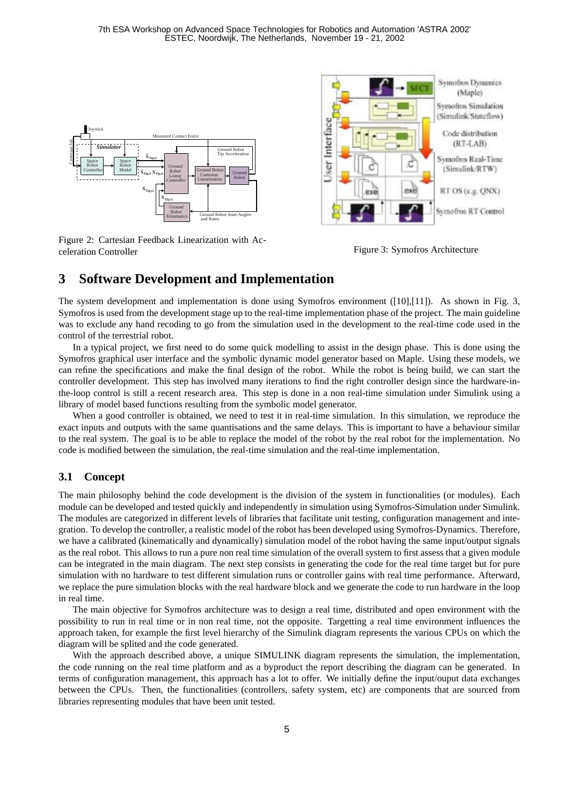

Figure 2: Cartesian Feedback Linearization with Acceleration Controller Figure 3: Symofros Architecture

### **3 Software Development and Implementation**

The system development and implementation is done using Symofros environment ([10],[11]). As shown in Fig. 3, Symofros is used from the development stage up to the real-time implementation phase of the project. The main guideline was to exclude any hand recoding to go from the simulation used in the development to the real-time code used in the control of the terrestrial robot.

In a typical project, we first need to do some quick modelling to assist in the design phase. This is done using the Symofros graphical user interface and the symbolic dynamic model generator based on Maple. Using these models, we can refine the specifications and make the final design of the robot. While the robot is being build, we can start the controller development. This step has involved many iterations to find the right controller design since the hardware-inthe-loop control is still a recent research area. This step is done in a non real-time simulation under Simulink using a library of model based functions resulting from the symbolic model generator.

When a good controller is obtained, we need to test it in real-time simulation. In this simulation, we reproduce the exact inputs and outputs with the same quantisations and the same delays. This is important to have a behaviour similar to the real system. The goal is to be able to replace the model of the robot by the real robot for the implementation. No code is modified between the simulation, the real-time simulation and the real-time implementation.

### **3.1 Concept**

The main philosophy behind the code development is the division of the system in functionalities (or modules). Each module can be developed and tested quickly and independently in simulation using Symofros-Simulation under Simulink. The modules are categorized in different levels of libraries that facilitate unit testing, configuration management and integration. To develop the controller, a realistic model of the robot has been developed using Symofros-Dynamics. Therefore, we have a calibrated (kinematically and dynamically) simulation model of the robot having the same input/output signals as the real robot. This allows to run a pure non real time simulation of the overall system to first assess that a given module can be integrated in the main diagram. The next step consists in generating the code for the real time target but for pure simulation with no hardware to test different simulation runs or controller gains with real time performance. Afterward, we replace the pure simulation blocks with the real hardware block and we generate the code to run hardware in the loop in real time.

The main objective for Symofros architecture was to design a real time, distributed and open environment with the possibility to run in real time or in non real time, not the opposite. Targetting a real time environment influences the approach taken, for example the first level hierarchy of the Simulink diagram represents the various CPUs on which the diagram will be splited and the code generated.

With the approach described above, a unique SIMULINK diagram represents the simulation, the implementation, the code running on the real time platform and as a byproduct the report describing the diagram can be generated. In terms of configuration management, this approach has a lot to offer. We initially define the input/ouput data exchanges between the CPUs. Then, the functionalities (controllers, safety system, etc) are components that are sourced from libraries representing modules that have been unit tested.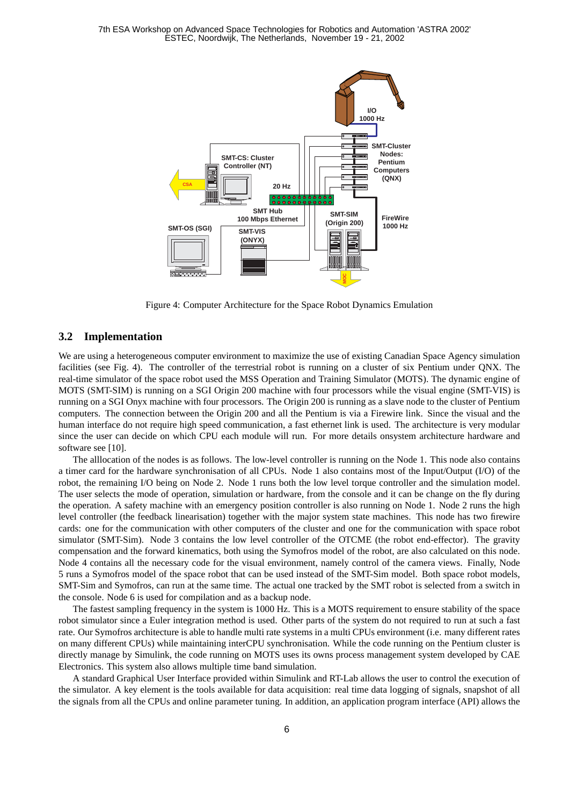

Figure 4: Computer Architecture for the Space Robot Dynamics Emulation

#### **3.2 Implementation**

We are using a heterogeneous computer environment to maximize the use of existing Canadian Space Agency simulation facilities (see Fig. 4). The controller of the terrestrial robot is running on a cluster of six Pentium under QNX. The real-time simulator of the space robot used the MSS Operation and Training Simulator (MOTS). The dynamic engine of MOTS (SMT-SIM) is running on a SGI Origin 200 machine with four processors while the visual engine (SMT-VIS) is running on a SGI Onyx machine with four processors. The Origin 200 is running as a slave node to the cluster of Pentium computers. The connection between the Origin 200 and all the Pentium is via a Firewire link. Since the visual and the human interface do not require high speed communication, a fast ethernet link is used. The architecture is very modular since the user can decide on which CPU each module will run. For more details onsystem architecture hardware and software see [10].

The alllocation of the nodes is as follows. The low-level controller is running on the Node 1. This node also contains a timer card for the hardware synchronisation of all CPUs. Node 1 also contains most of the Input/Output (I/O) of the robot, the remaining I/O being on Node 2. Node 1 runs both the low level torque controller and the simulation model. The user selects the mode of operation, simulation or hardware, from the console and it can be change on the fly during the operation. A safety machine with an emergency position controller is also running on Node 1. Node 2 runs the high level controller (the feedback linearisation) together with the major system state machines. This node has two firewire cards: one for the communication with other computers of the cluster and one for the communication with space robot simulator (SMT-Sim). Node 3 contains the low level controller of the OTCME (the robot end-effector). The gravity compensation and the forward kinematics, both using the Symofros model of the robot, are also calculated on this node. Node 4 contains all the necessary code for the visual environment, namely control of the camera views. Finally, Node 5 runs a Symofros model of the space robot that can be used instead of the SMT-Sim model. Both space robot models, SMT-Sim and Symofros, can run at the same time. The actual one tracked by the SMT robot is selected from a switch in the console. Node 6 is used for compilation and as a backup node.

The fastest sampling frequency in the system is 1000 Hz. This is a MOTS requirement to ensure stability of the space robot simulator since a Euler integration method is used. Other parts of the system do not required to run at such a fast rate. Our Symofros architecture is able to handle multi rate systems in a multi CPUs environment (i.e. many different rates on many different CPUs) while maintaining interCPU synchronisation. While the code running on the Pentium cluster is directly manage by Simulink, the code running on MOTS uses its owns process management system developed by CAE Electronics. This system also allows multiple time band simulation.

A standard Graphical User Interface provided within Simulink and RT-Lab allows the user to control the execution of the simulator. A key element is the tools available for data acquisition: real time data logging of signals, snapshot of all the signals from all the CPUs and online parameter tuning. In addition, an application program interface (API) allows the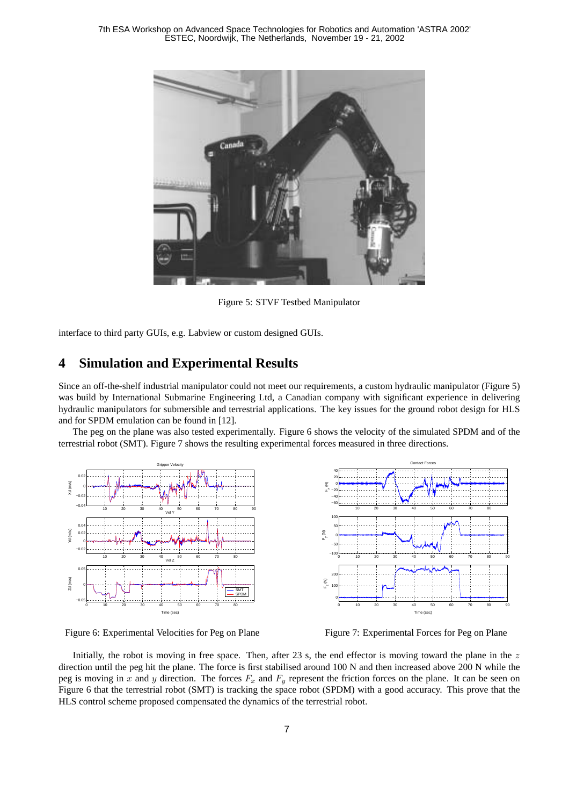7th ESA Workshop on Advanced Space Technologies for Robotics and Automation 'ASTRA 2002' ESTEC, Noordwijk, The Netherlands, November 19 - 21, 2002



Figure 5: STVF Testbed Manipulator

interface to third party GUIs, e.g. Labview or custom designed GUIs.

### **4 Simulation and Experimental Results**

Since an off-the-shelf industrial manipulator could not meet our requirements, a custom hydraulic manipulator (Figure 5) was build by International Submarine Engineering Ltd, a Canadian company with significant experience in delivering hydraulic manipulators for submersible and terrestrial applications. The key issues for the ground robot design for HLS and for SPDM emulation can be found in [12].

The peg on the plane was also tested experimentally. Figure 6 shows the velocity of the simulated SPDM and of the terrestrial robot (SMT). Figure 7 shows the resulting experimental forces measured in three directions.



Figure 6: Experimental Velocities for Peg on Plane

Figure 7: Experimental Forces for Peg on Plane

Initially, the robot is moving in free space. Then, after 23 s, the end effector is moving toward the plane in the  $z$ direction until the peg hit the plane. The force is first stabilised around 100 N and then increased above 200 N while the peg is moving in x and y direction. The forces  $F_x$  and  $F_y$  represent the friction forces on the plane. It can be seen on Figure 6 that the terrestrial robot (SMT) is tracking the space robot (SPDM) with a good accuracy. This prove that the HLS control scheme proposed compensated the dynamics of the terrestrial robot.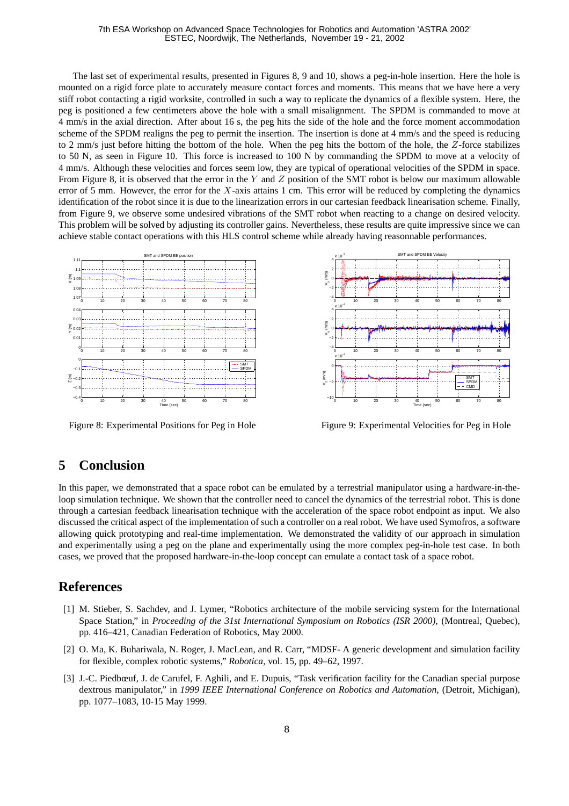#### 7th ESA Workshop on Advanced Space Technologies for Robotics and Automation 'ASTRA 2002' ESTEC, Noordwijk, The Netherlands, November 19 - 21, 2002

The last set of experimental results, presented in Figures 8, 9 and 10, shows a peg-in-hole insertion. Here the hole is mounted on a rigid force plate to accurately measure contact forces and moments. This means that we have here a very stiff robot contacting a rigid worksite, controlled in such a way to replicate the dynamics of a flexible system. Here, the peg is positioned a few centimeters above the hole with a small misalignment. The SPDM is commanded to move at 4 mm/s in the axial direction. After about 16 s, the peg hits the side of the hole and the force moment accommodation scheme of the SPDM realigns the peg to permit the insertion. The insertion is done at 4 mm/s and the speed is reducing to 2 mm/s just before hitting the bottom of the hole. When the peg hits the bottom of the hole, the  $Z$ -force stabilizes to 50 N, as seen in Figure 10. This force is increased to 100 N by commanding the SPDM to move at a velocity of 4 mm/s. Although these velocities and forces seem low, they are typical of operational velocities of the SPDM in space. From Figure 8, it is observed that the error in the Y and Z position of the SMT robot is below our maximum allowable error of 5 mm. However, the error for the  $X$ -axis attains 1 cm. This error will be reduced by completing the dynamics identification of the robot since it is due to the linearization errors in our cartesian feedback linearisation scheme. Finally, from Figure 9, we observe some undesired vibrations of the SMT robot when reacting to a change on desired velocity. This problem will be solved by adjusting its controller gains. Nevertheless, these results are quite impressive since we can achieve stable contact operations with this HLS control scheme while already having reasonnable performances.



Figure 8: Experimental Positions for Peg in Hole



Figure 9: Experimental Velocities for Peg in Hole

# **5 Conclusion**

In this paper, we demonstrated that a space robot can be emulated by a terrestrial manipulator using a hardware-in-theloop simulation technique. We shown that the controller need to cancel the dynamics of the terrestrial robot. This is done through a cartesian feedback linearisation technique with the acceleration of the space robot endpoint as input. We also discussed the critical aspect of the implementation of such a controller on a real robot. We have used Symofros, a software allowing quick prototyping and real-time implementation. We demonstrated the validity of our approach in simulation and experimentally using a peg on the plane and experimentally using the more complex peg-in-hole test case. In both cases, we proved that the proposed hardware-in-the-loop concept can emulate a contact task of a space robot.

## **References**

- [1] M. Stieber, S. Sachdev, and J. Lymer, "Robotics architecture of the mobile servicing system for the International Space Station," in *Proceeding of the 31st International Symposium on Robotics (ISR 2000)*, (Montreal, Quebec), pp. 416–421, Canadian Federation of Robotics, May 2000.
- [2] O. Ma, K. Buhariwala, N. Roger, J. MacLean, and R. Carr, "MDSF- A generic development and simulation facility for flexible, complex robotic systems," *Robotica*, vol. 15, pp. 49–62, 1997.
- [3] J.-C. Piedbœuf, J. de Carufel, F. Aghili, and E. Dupuis, "Task verification facility for the Canadian special purpose dextrous manipulator," in *1999 IEEE International Conference on Robotics and Automation*, (Detroit, Michigan), pp. 1077–1083, 10-15 May 1999.